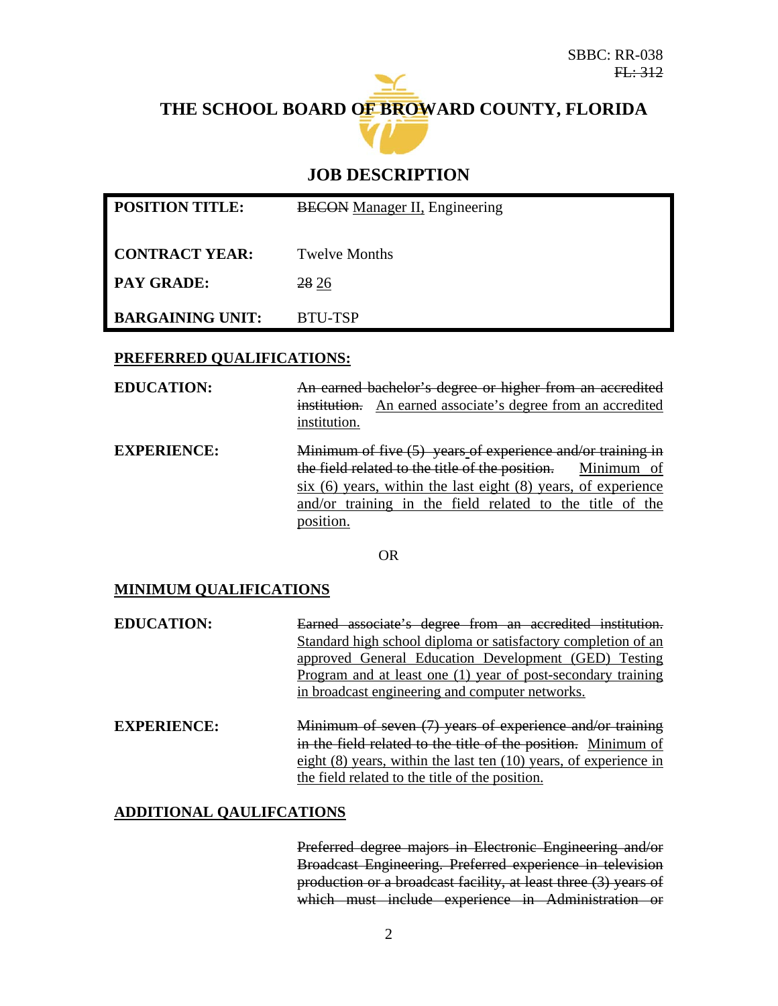# **THE SCHOOL BOARD OF BROWARD COUNTY, FLORIDA**



# **JOB DESCRIPTION**

| <b>POSITION TITLE:</b>  | <b>BECON</b> Manager II, Engineering |  |  |
|-------------------------|--------------------------------------|--|--|
|                         |                                      |  |  |
| <b>CONTRACT YEAR:</b>   | Twelve Months                        |  |  |
| <b>PAY GRADE:</b>       | 28 26                                |  |  |
| <b>BARGAINING UNIT:</b> | BTU-TSP                              |  |  |

### **PREFERRED QUALIFICATIONS:**

**EDUCATION:** An earned bachelor's degree or higher from an accredited institution. An earned associate's degree from an accredited institution. **EXPERIENCE:** Minimum of five (5) years of experience and/or training in the field related to the title of the position. Minimum of six (6) years, within the last eight (8) years, of experience and/or training in the field related to the title of the

OR

position.

### **MINIMUM QUALIFICATIONS**

| <b>EDUCATION:</b> | Earned associate's degree from an accredited institution.     |
|-------------------|---------------------------------------------------------------|
|                   | Standard high school diploma or satisfactory completion of an |
|                   | approved General Education Development (GED) Testing          |
|                   | Program and at least one (1) year of post-secondary training  |
|                   | in broadcast engineering and computer networks.               |

**EXPERIENCE:** Minimum of seven (7) years of experience and/or training in the field related to the title of the position. Minimum of eight (8) years, within the last ten (10) years, of experience in the field related to the title of the position.

#### **ADDITIONAL QAULIFCATIONS**

Preferred degree majors in Electronic Engineering and/or Broadcast Engineering. Preferred experience in television production or a broadcast facility, at least three (3) years of which must include experience in Administration or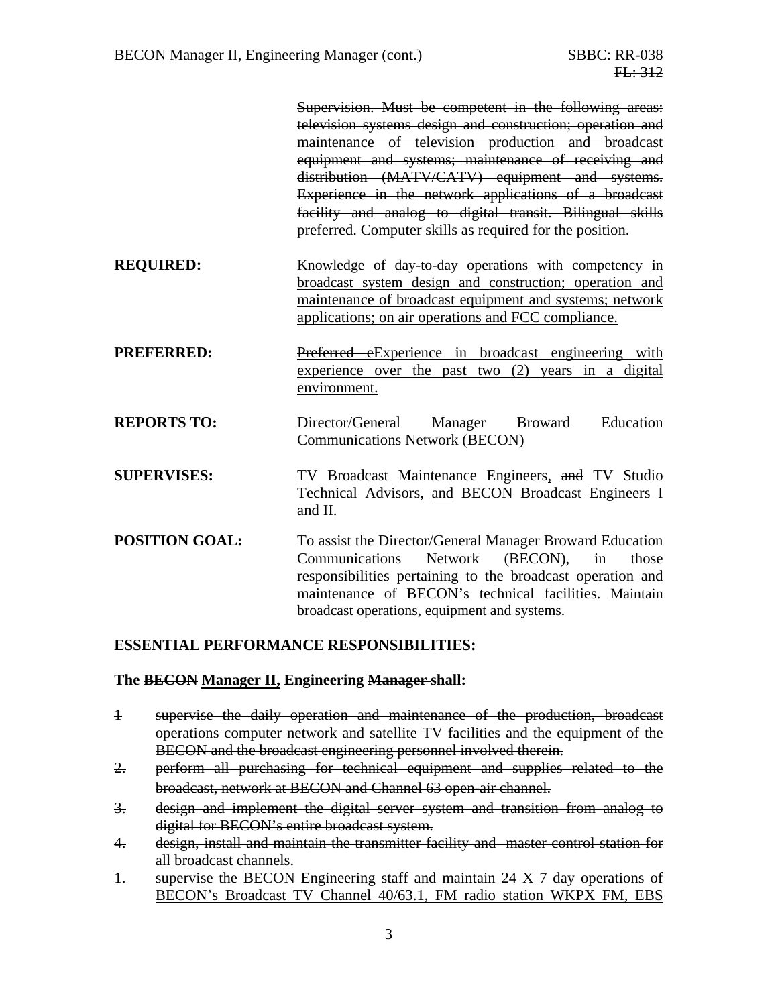|                       | Supervision. Must be competent in the following areas:<br>television systems design and construction; operation and<br>maintenance of television production and broadcast<br>equipment and systems; maintenance of receiving and<br>distribution (MATV/CATV) equipment and systems.<br>Experience in the network applications of a broadcast<br>facility and analog to digital transit. Bilingual skills<br>preferred. Computer skills as required for the position. |
|-----------------------|----------------------------------------------------------------------------------------------------------------------------------------------------------------------------------------------------------------------------------------------------------------------------------------------------------------------------------------------------------------------------------------------------------------------------------------------------------------------|
| <b>REQUIRED:</b>      | Knowledge of day-to-day operations with competency in<br>broadcast system design and construction; operation and<br>maintenance of broadcast equipment and systems; network<br>applications; on air operations and FCC compliance.                                                                                                                                                                                                                                   |
| <b>PREFERRED:</b>     | Preferred eExperience in broadcast engineering with<br>experience over the past two $(2)$ years in a digital<br>environment.                                                                                                                                                                                                                                                                                                                                         |
| <b>REPORTS TO:</b>    | Education<br>Director/General Manager Broward<br><b>Communications Network (BECON)</b>                                                                                                                                                                                                                                                                                                                                                                               |
| <b>SUPERVISES:</b>    | TV Broadcast Maintenance Engineers, and TV Studio<br>Technical Advisors, and BECON Broadcast Engineers I<br>and II.                                                                                                                                                                                                                                                                                                                                                  |
| <b>POSITION GOAL:</b> | To assist the Director/General Manager Broward Education<br>(BECON),<br>Communications<br>Network<br>those<br>in<br>responsibilities pertaining to the broadcast operation and<br>maintenance of BECON's technical facilities. Maintain<br>broadcast operations, equipment and systems.                                                                                                                                                                              |

### **ESSENTIAL PERFORMANCE RESPONSIBILITIES:**

#### **The BECON Manager II, Engineering Manager shall:**

- 1 supervise the daily operation and maintenance of the production, broadcast operations computer network and satellite TV facilities and the equipment of the BECON and the broadcast engineering personnel involved therein.
- 2. perform all purchasing for technical equipment and supplies related to the broadcast, network at BECON and Channel 63 open-air channel.
- 3. design and implement the digital server system and transition from analog to digital for BECON's entire broadcast system.
- 4. design, install and maintain the transmitter facility and master control station for all broadcast channels.
- 1. supervise the BECON Engineering staff and maintain 24 X 7 day operations of BECON's Broadcast TV Channel 40/63.1, FM radio station WKPX FM, EBS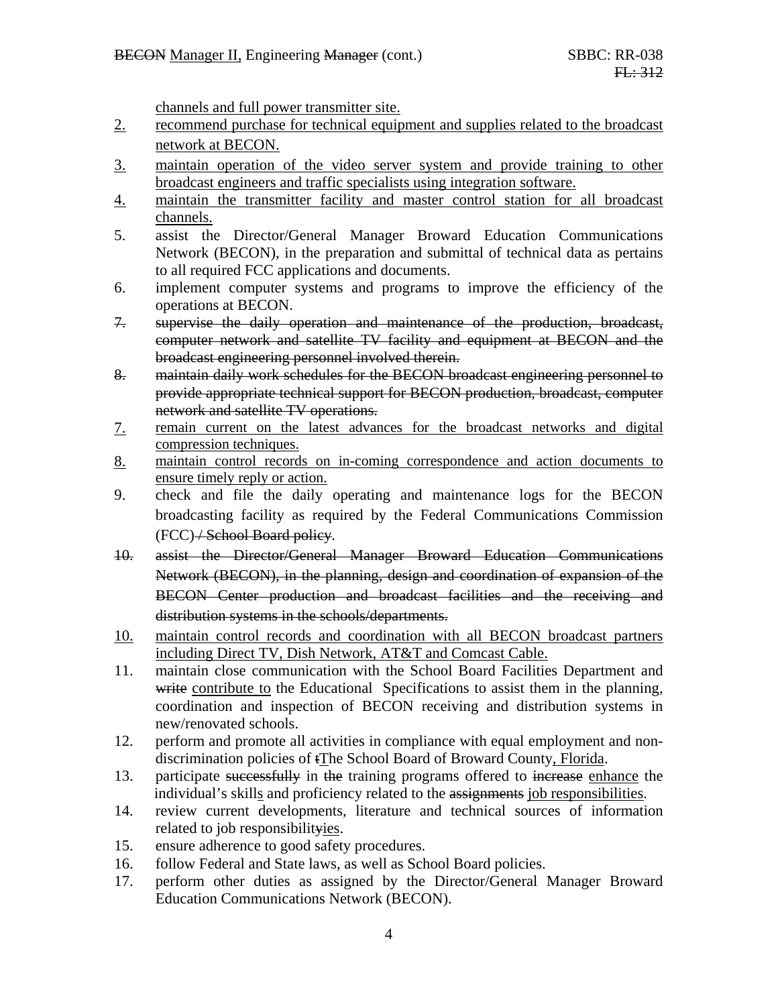channels and full power transmitter site.

- 2. recommend purchase for technical equipment and supplies related to the broadcast network at BECON.
- 3. maintain operation of the video server system and provide training to other broadcast engineers and traffic specialists using integration software.
- 4. maintain the transmitter facility and master control station for all broadcast channels.
- 5. assist the Director/General Manager Broward Education Communications Network (BECON), in the preparation and submittal of technical data as pertains to all required FCC applications and documents.
- 6. implement computer systems and programs to improve the efficiency of the operations at BECON.
- 7. supervise the daily operation and maintenance of the production, broadcast, computer network and satellite TV facility and equipment at BECON and the broadcast engineering personnel involved therein.
- 8. maintain daily work schedules for the BECON broadcast engineering personnel to provide appropriate technical support for BECON production, broadcast, computer network and satellite TV operations.
- 7. remain current on the latest advances for the broadcast networks and digital compression techniques.
- 8. maintain control records on in-coming correspondence and action documents to ensure timely reply or action.
- 9. check and file the daily operating and maintenance logs for the BECON broadcasting facility as required by the Federal Communications Commission (FCC) / School Board policy.
- 10. assist the Director/General Manager Broward Education Communications Network (BECON), in the planning, design and coordination of expansion of the BECON Center production and broadcast facilities and the receiving and distribution systems in the schools/departments.
- 10. maintain control records and coordination with all BECON broadcast partners including Direct TV, Dish Network, AT&T and Comcast Cable.
- 11. maintain close communication with the School Board Facilities Department and write contribute to the Educational Specifications to assist them in the planning, coordination and inspection of BECON receiving and distribution systems in new/renovated schools.
- 12. perform and promote all activities in compliance with equal employment and nondiscrimination policies of tThe School Board of Broward County, Florida.
- 13. participate successfully in the training programs offered to increase enhance the individual's skills and proficiency related to the assignments job responsibilities.
- 14. review current developments, literature and technical sources of information related to job responsibilityies.
- 15. ensure adherence to good safety procedures.
- 16. follow Federal and State laws, as well as School Board policies.
- 17. perform other duties as assigned by the Director/General Manager Broward Education Communications Network (BECON).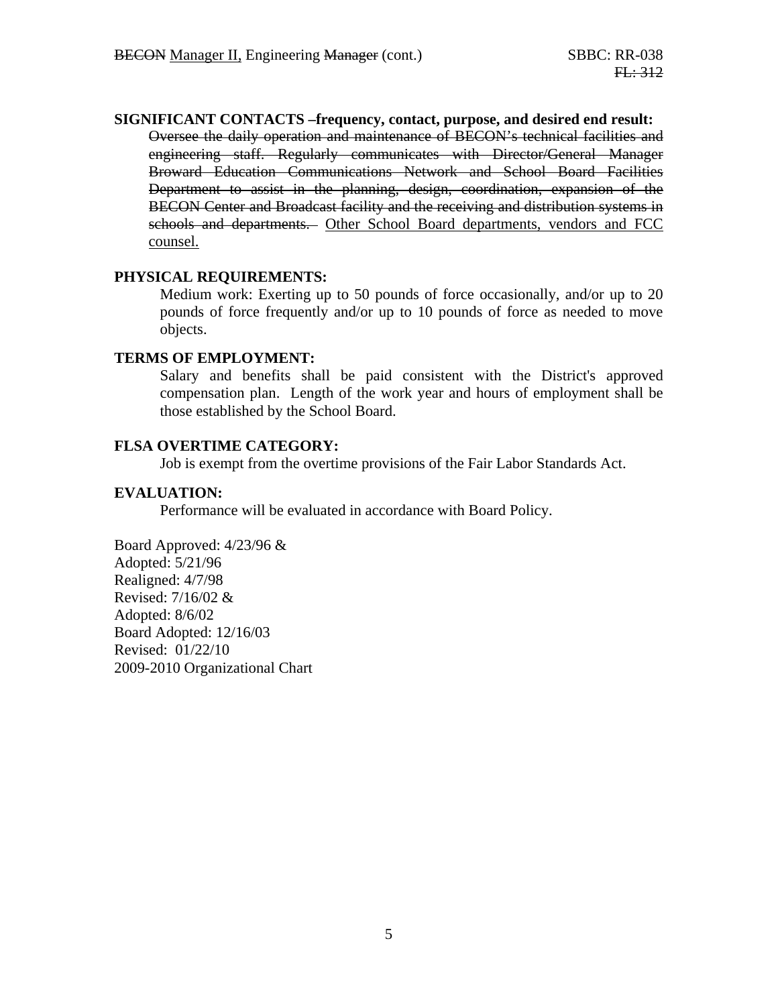**SIGNIFICANT CONTACTS –frequency, contact, purpose, and desired end result:**  Oversee the daily operation and maintenance of BECON's technical facilities and engineering staff. Regularly communicates with Director/General Manager Broward Education Communications Network and School Board Facilities Department to assist in the planning, design, coordination, expansion of the BECON Center and Broadcast facility and the receiving and distribution systems in schools and departments. Other School Board departments, vendors and FCC counsel.

#### **PHYSICAL REQUIREMENTS:**

Medium work: Exerting up to 50 pounds of force occasionally, and/or up to 20 pounds of force frequently and/or up to 10 pounds of force as needed to move objects.

#### **TERMS OF EMPLOYMENT:**

Salary and benefits shall be paid consistent with the District's approved compensation plan. Length of the work year and hours of employment shall be those established by the School Board.

#### **FLSA OVERTIME CATEGORY:**

Job is exempt from the overtime provisions of the Fair Labor Standards Act.

#### **EVALUATION:**

Performance will be evaluated in accordance with Board Policy.

Board Approved: 4/23/96 & Adopted: 5/21/96 Realigned: 4/7/98 Revised: 7/16/02 & Adopted: 8/6/02 Board Adopted: 12/16/03 Revised: 01/22/10 2009-2010 Organizational Chart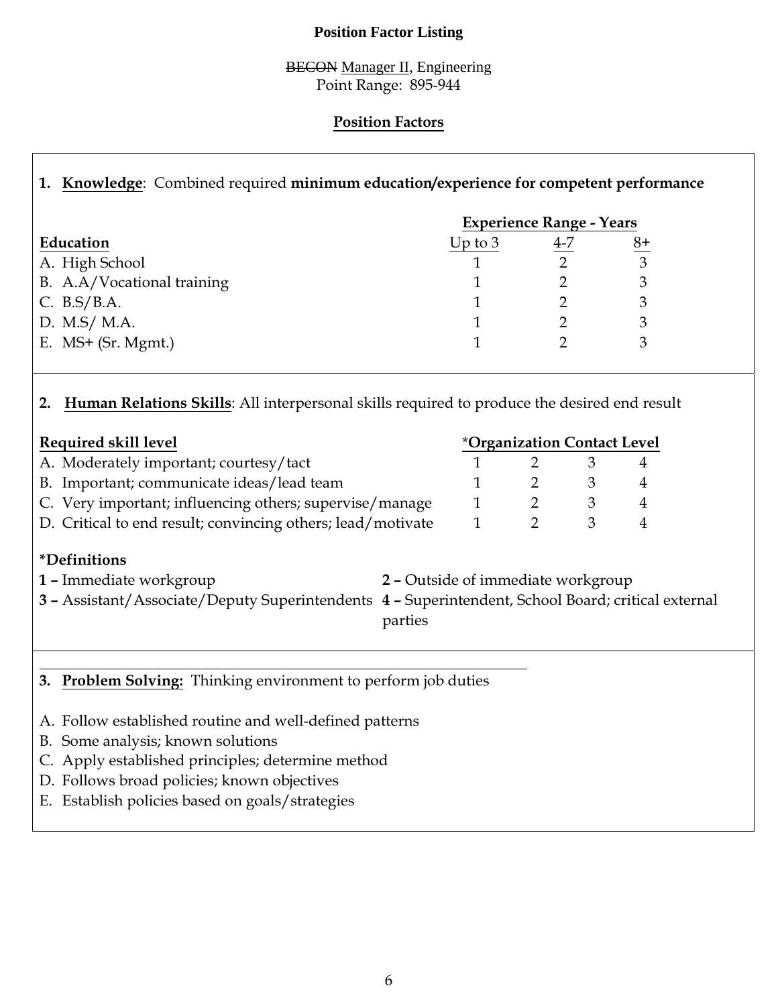## **Position Factor Listing**

### BECON Manager II, Engineering Point Range: 895-944

# **Position Factors**

# **1. Knowledge**: Combined required **minimum education/experience for competent performance**

|                            | <b>Experience Range - Years</b> |     |              |  |
|----------------------------|---------------------------------|-----|--------------|--|
| Education                  | Up to $3$                       | 4-7 | $8+$         |  |
| A. High School             |                                 |     | $\mathbf{R}$ |  |
| B. A.A/Vocational training |                                 |     |              |  |
| C. $B.S/B.A.$              |                                 |     |              |  |
| D. M.S/ M.A.               |                                 |     |              |  |
| E. $MS+$ (Sr. Mgmt.)       |                                 |     |              |  |

# **2. Human Relations Skills**: All interpersonal skills required to produce the desired end result

| Required skill level                                        |  | <i><b>*Organization Contact Level</b></i> |  |  |  |
|-------------------------------------------------------------|--|-------------------------------------------|--|--|--|
| A. Moderately important; courtesy/tact                      |  |                                           |  |  |  |
| B. Important; communicate ideas/lead team                   |  |                                           |  |  |  |
| C. Very important; influencing others; supervise/manage     |  |                                           |  |  |  |
| D. Critical to end result; convincing others; lead/motivate |  |                                           |  |  |  |

# **\*Definitions**

- **1 –** Immediate workgroup **2** Outside of immediate workgroup **3 –** Assistant/Associate/Deputy Superintendents **4 –** Superintendent, School Board; critical external parties
- **3. Problem Solving:** Thinking environment to perform job duties
- A. Follow established routine and well-defined patterns
- B. Some analysis; known solutions
- C. Apply established principles; determine method
- D. Follows broad policies; known objectives
- E. Establish policies based on goals/strategies